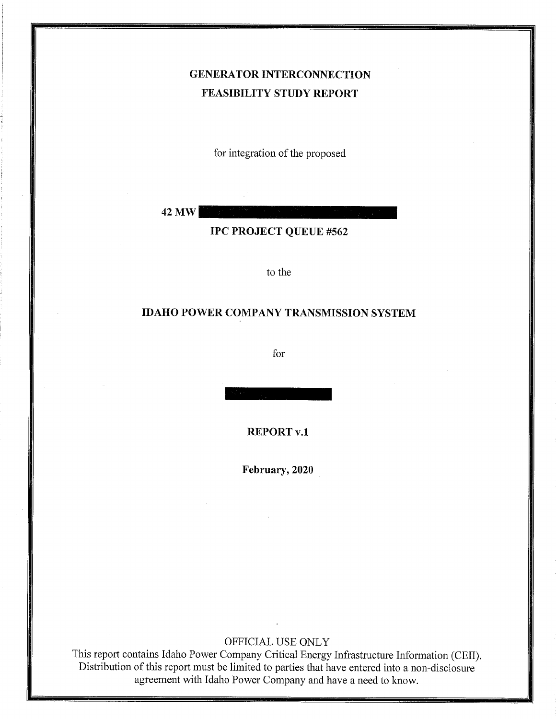## GENERATOR INTERCONNECTION FEASIBILITY STUDY REPORT

for integration of the proposed

42 MW

IPC PROJECT QUEUE #562

to the

#### IDAHO POWER COMPANY TRANSMISSION SYSTEM

for

REPORT v.1

February, 2020

#### OFFICIAL USE ONLY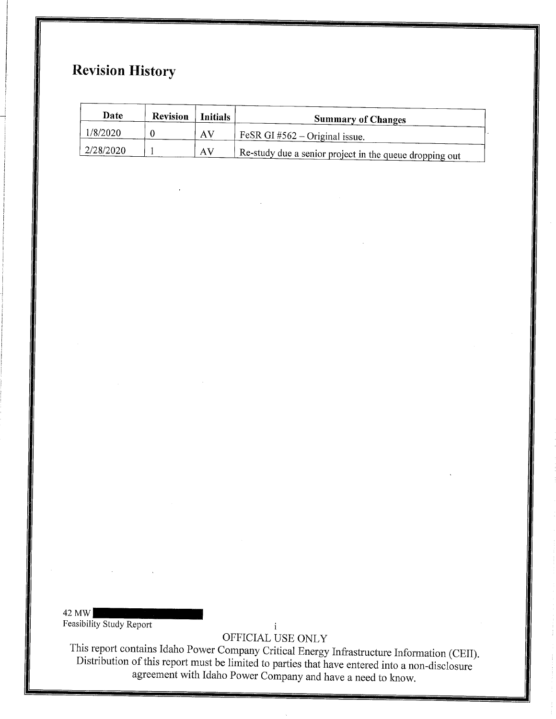## Revision History

| Date      | <b>Revision</b> | <b>Initials</b> | <b>Summary of Changes</b>                                     |
|-----------|-----------------|-----------------|---------------------------------------------------------------|
| 1/8/2020  |                 | AV              | $\frac{1}{2}$ FeSR GI #562 – Original issue.                  |
| 2/28/2020 |                 | AV              | $\mu$ Re-study due a senior project in the queue dropping out |

42 MW Feasibility Study Report

 $\mathbf{i}$ OFFICIAL USE ONLY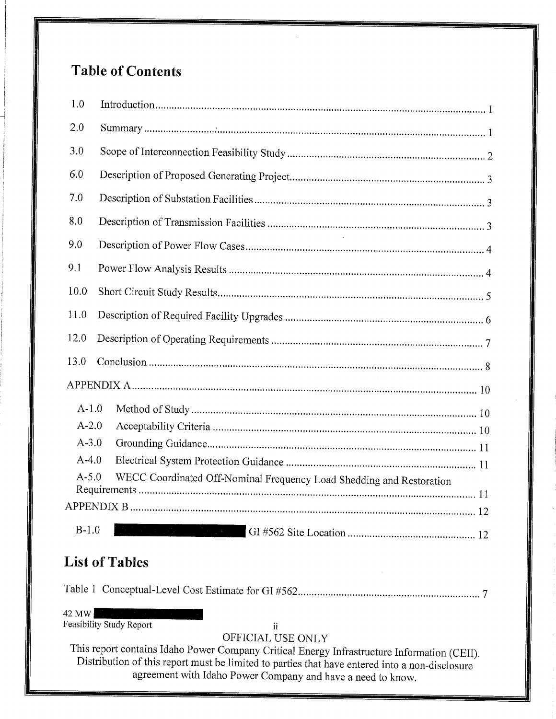# Table of Contents

| 1.0       |                                                                      |
|-----------|----------------------------------------------------------------------|
| 2.0       |                                                                      |
| 3.0       |                                                                      |
| 6.0       |                                                                      |
| 7.0       |                                                                      |
| 8.0       |                                                                      |
| 9.0       |                                                                      |
| 9.1       |                                                                      |
| 10.0      |                                                                      |
| 11.0      |                                                                      |
| 12.0      |                                                                      |
| 13.0      |                                                                      |
|           |                                                                      |
| $A-1.0$   |                                                                      |
| $A-2.0$   |                                                                      |
| $A - 3.0$ |                                                                      |
| $A - 4.0$ |                                                                      |
| $A - 5.0$ | WECC Coordinated Off-Nominal Frequency Load Shedding and Restoration |
|           |                                                                      |
|           |                                                                      |
| $B-1.0$   |                                                                      |

## List of Tables

Table I Conceptual-Level Cost Estimate for GI #562 7

42 MW

Feasibility Study Report ii

## OFFICIAL USE ONLY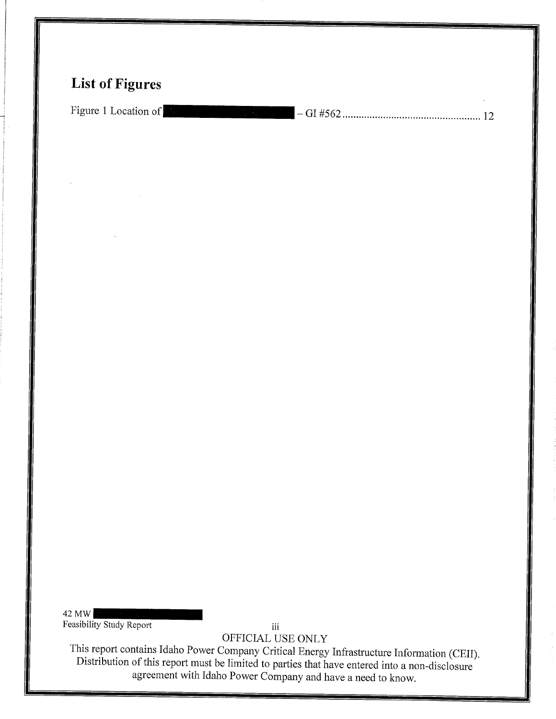## List of Figures

Figure <sup>1</sup> Location of - GI #562................................................... <sup>12</sup>

42 MW Feasibility Study Report

iii OFFICIAL USE ONLY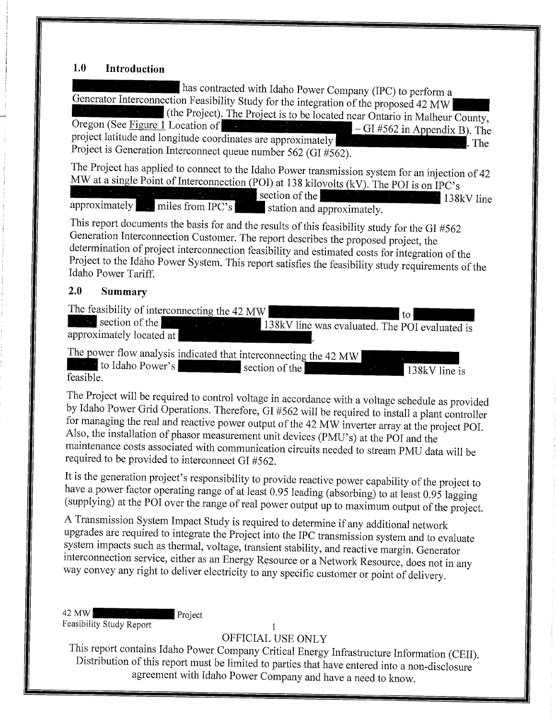#### $1.0$ Introduction

has contracted with Idaho Power Company (IPC) to perform <sup>a</sup> Generator Interconnection Feasibility Study for the integration of the proposed 42 MW (the Project). The Project is to be located near Ontario in Malheur County,<br>Oregon (See Figure 1 Location of  $-GI$ #562 in Appendix B). The Oregon (See <u>Figure 1</u> Location of  $\begin{bmatrix} 1 & 0 \\ 0 & 1 \end{bmatrix}$  - GI #562 in Appendix B). The project latitude and longitude coordinates are approximately The Theorem Theorem Theorem Theorem Theorem Theorem Theorem Theorem Theorem Theorem Theorem Theorem Theorem Theorem Theorem Theorem Theorem Theorem Theorem Theor Project is Generation Interconnect queue number 562 (GI #562).

The Project has applied to connect to the Idaho Power transmission system for an injection of <sup>42</sup> MW at a single Point of Interconnection (POI) at 138 kilovolts (kV). The POI is on IPC's section of the  $\frac{1}{2}$   $\frac{1}{2}$   $\frac{1}{2}$   $\frac{1}{2}$   $\frac{1}{2}$   $\frac{1}{8}$   $\frac{1}{8}$   $\frac{1}{8}$   $\frac{1}{8}$   $\frac{1}{8}$   $\frac{1}{8}$   $\frac{1}{8}$   $\frac{1}{8}$   $\frac{1}{1}$   $\frac{1}{8}$   $\frac{1}{8}$   $\frac{1}{1}$   $\frac{1}{8}$   $\frac{1}{8}$   $\frac{1}{1}$   $\frac{1}{$ approximately. Figures from IPC's station and approximately

This report documents the basis for and the results of this feasibility study for the GI #562 Generation Interconnection Customer. The report describes the proposed project, the determination of project interconnection feasibility and estimated costs for integration of the Project to the Idaho Power System. This report satisfies the feasibility study requirements of the Idaho Power Tariff.

#### 2.O Summary

The feasibility of interconnecting the 42 MW

to. section of the 138kV line was evaluated. The POI evaluated is approximately located at

The power flow analysis indicated that interconnecting the 42 MW  $\parallel$   $\parallel$  to Idaho Power's section of the  $138kV$  line is feasible.

The Project will be required to control voltage in accordance with <sup>a</sup> voltage schedule as provided by Idaho Power Grid Operations. Therefore, GI #562 will be required to install <sup>a</sup> plant controller for managing the real and reactive power output of the <sup>42</sup> MW inverter array at the project POI. Also, the installation of phasor measurement unit devices (PMU's) at the POI and the maintenance costs associated with communication circuits needed to stream PMU data will be required to be provided to interconnect GI #562.

It is the generation project's responsibility to provide reactive power capability of the project to have a power factor operating range of at least 0.95 leading (absorbing) to at least 0.95 lagging (supplying) at the POI over the range of real power output up to maximum output of the project.

<sup>A</sup> Transmission System Impact Study is required to determine if any additional network upgrades are required to integrate the Project into the IPC transmission system and to evaluate system impacts such as thermal, voltage, transient stability, and reactive margin. Generator interconnection service, either as an Energy Resource or <sup>a</sup> Network Resource, does not in any way convey any right to deliver electricity to any specific customer or point of delivery.

42 MW Project Feasibility Study Report 1

### OFFICIAL USE ONLY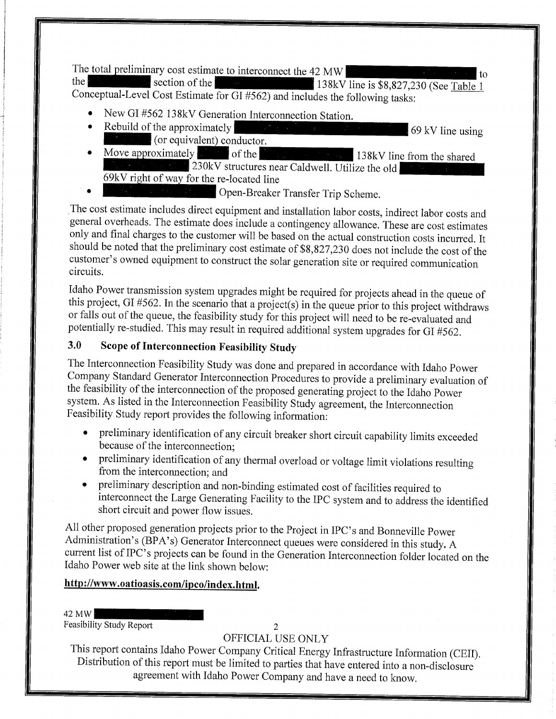The total preliminary cost estimate to interconnect the 42 MW<br>the<br>conceptual-Level Cost Estimate for GI #562) and includes the following tasks:

- New GI #562 138kV Generation Interconnection Station.<br>Rebuild of the approximately
- $\bullet$ 69 kV line using (or equivalent) conductor.
- Move approximately solution of the  $\bullet$ 138kV line from the shared 230kV structures near Caldwell. Utilize the old 69kV right of way for the re-located line
- Open-Breaker Transfer Trip Scheme.

The cost estimate includes direct equipment and installation labor costs, indirect labor costs and general overheads. The estimate does include a contingency allowance. These are cost estimates only and final charges to the customer will be based on the actual construction costs incurred. It should be noted that the preliminary cost estimate of \$8,827,230 does not include the cost of the customer's owned equipment to construct the solar generation site or required communication circuits.

Idaho Power transmission system upgrades might be required for projects ahead in the queue of this project, GI #562. In the scenario that <sup>a</sup> project(s) in the queue prior to this project withdraws or falls out of the queue, the feasibility study for this project will need to be re-evaluated and potentially re-studied. This may result in required additional system upgrades for GI #562.

## 3.O Scope of Interconnection Feasibility Study

The Interconnection Feasibility Study was done and prepared in accordance with Idaho Power Company Standard Generator Interconnection Procedures to provide <sup>a</sup> preliminary evaluation of the feasibility of the interconnection of the proposed generating project to the Idaho Power system. As listed in the Interconnection Feasibility Study agreement, the Interconnection Feasibility Study report provides the following information:

- \* preliminary identification of any circuit breaker short circuit capability limits exceeded because of the interconnection;
- \* preliminary identification of any thermal overload or voltage limit violations resulting from the interconnection; and
- preliminary description and non-binding estimated cost of facilities required to interconnect the Large Generating Facility to the IPC system and to address the identified short circuit and power flow issues.

All other proposed generation projects prior to the Project in IPC's and Bonneville Power Administration's (BPA's) Generator Interconnect queues were considered in this study. <sup>A</sup> current list of IPC's projects can be found in the Generation Interconnection folder located on the Idaho Power web site at the link shown below:

#### http://www.oatioasis.com/ipco/index.html.

42 MW

Feasibility Study Report

#### $\overline{2}$ OFFICIAL USE ONLY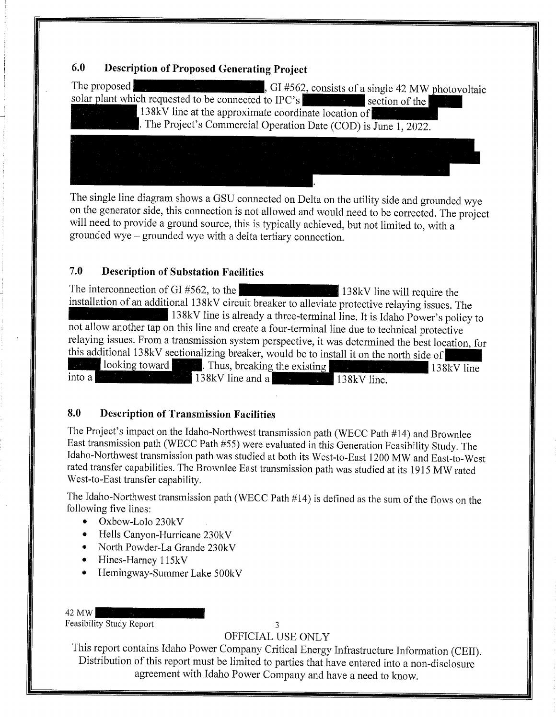### 6.O Description of Proposed Generating Project

| The proposed                                         | GI #562, consists of a single 42 MW photovoltaic                 |
|------------------------------------------------------|------------------------------------------------------------------|
| solar plant which requested to be connected to IPC's | section of the                                                   |
|                                                      | 138kV line at the approximate coordinate location of             |
|                                                      |                                                                  |
|                                                      | . The Project's Commercial Operation Date (COD) is June 1, 2022. |
|                                                      |                                                                  |
|                                                      |                                                                  |
|                                                      |                                                                  |
|                                                      |                                                                  |

The single line diagram shows a GSU connected on Delta on the utility side and grounded wye on the generator side, this connection is not allowed and would need to be corrected. The project will need to provide <sup>a</sup> ground source, this is typically achieved, but not limited to, with <sup>a</sup> grounded wye - grounded wye with a delta tertiary connection.

#### 7.O Description of Substation Facilities

The interconnection of GI #562, to the 138kV line will require the installation of an additional 138kV circuit breaker to alleviate protective relaying issues. Th 138kV line is already a three-terminal line. It is Idaho Power's policy to not allow another tap on this line and create a four-terminal line due to technical protective relaying issues. From <sup>a</sup> transmission system perspective, it was determined the best location, for this additional 138kV sectionalizing breaker, would be to install it on the north side of 8 looking toward 8 looking then all the existing 138kV line into a 138kV line and a  $138kV$  line.

#### 8.O Description of Transmission Facilities

The Project's impact on the Idaho-Northwest transmission path (WECC Path #14) and Brownlee East transmission path (WECC Path #55) were evaluated in this Generation Feasibility Study. The Idaho-Northwest transmission path was studied at both its West-to-East 1200 MW and East-to-West rated transfer capabilities. The Brownlee East transmission path was studied at its 1915 MW rated West-to-East transfer capability.

The Idaho-Northwest transmission path (WECC Path  $#14$ ) is defined as the sum of the flows on the following five lines:

- \* Oxbow-Lolo 230kV
- \* Hells Canyon-Hurricane 230kV
- North Powder-La Grande 230kV
- Hines-Harney 115kV
- Hemingway-Summer Lake 500kV

42 MW

Feasibility Study Report 3

OFFICIAL USE ONLY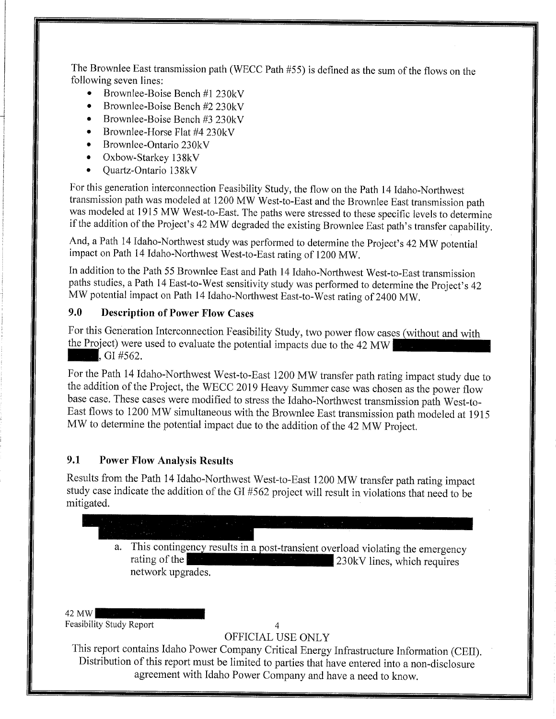The Brownlee East transmission path (WECC Path #55) is defined as the sum of the flows on the following seven lines:

- Brownlee-Boise Bench #1 230kV
- Brownlee-Boise Bench #2 230kV
- Brownlee-Boise Bench #3 230kV
- Brownlee-Horse Flat #4 230kV
- Brownlee-Ontario 230kV
- Oxbow-Starkey 138kV
- Quartz-Ontario 138kV

For this generation interconnection Feasibility Study, the flow on the Path 14 Idaho-Northwest transmission path was modeled at <sup>1200</sup> MW West-to-East and the Brownlee East transmission path was modeled at <sup>1915</sup> MW West-to-East. The paths were stressed to these specific levels to determine if the addition of the Project's 42 MW degraded the existing Brownlee East path's transfer capability.

And, <sup>a</sup> Path <sup>14</sup> Idaho-Northwest study was performed to determine the Project's <sup>42</sup> MW potential impact on Path 14 Idaho-Northwest West-to-East rating of 1200 MW.

In addition to the Path 55 Brownlee East and Path 14 Idaho-Northwest West-to-East transmission paths studies, <sup>a</sup> Path <sup>14</sup> East-to-West sensitivity study was performed to determine the Project's <sup>42</sup> MW potential impact on Path <sup>14</sup> Idaho-Northwest East-to-West rating of <sup>2400</sup> MW.

#### 9.O Description of Power Flow Cases

For this Generation Interconnection Feasibility Study, two power flow cases (without and with the Project) were used to evaluate the potential impacts due to the 42 MW a., GI  $#562$ .

For the Path 14 Idaho-Northwest West-to-East 1200 MW transfer path rating impact study due to the addition of the Project, the WECC <sup>2019</sup> Heavy Summer case was chosen as the power flow base case. These cases were modified to stress the Idaho-Northwest transmission path West-to-East flows to <sup>1200</sup> MW simultaneous with the Brownlee East transmission path modeled at <sup>1915</sup> MW to determine the potential impact due to the addition of the 42 MW Project.

#### 9.1 Power Flow Analysis Results

Results from the Path <sup>14</sup> Idaho-Northwest West-to-East <sup>1200</sup> MW transfer path rating impact study case indicate the addition of the GI #562 project will result in violations that need to be mitigated.

- - a. This contingency results in a post-transient overload violating the emergency<br>rating of the and a state of the contract and a state of 230kV lines, which requires network upgrades.

42 MW Feasibility Study Report 4

#### OFFICIAL USE ONLY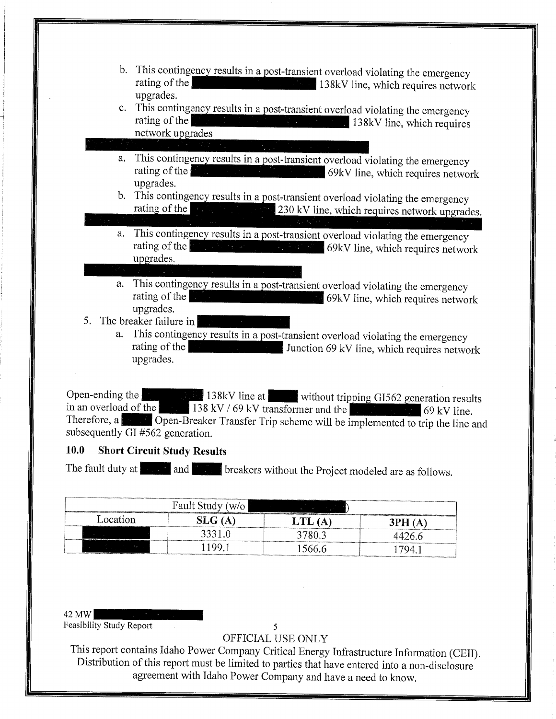- b. This contingency results in a post-transient overload violating the emergency rating of the **EXECUTE:** 138kV line, which requires network upgrades.
- c. This contingency results in a post-transient overload violating the emergency rating of the 138kV line, which requires network upgrades
- a. This contingency results in a post-transient overload violating the emergency rating of the
- upgrades.<br>b. This contingency results in a post-transient overload violating the emergency rating of the  $\frac{1}{\sqrt{230 \text{ kV}}}\approx 230 \text{ kV}$  line, which requires network upgrades.
- a. This contingency results in a post-transient overload violating the emergency rating of the **participants in a stransient of the results in a** 69kV line, which requires network upgrades.
- a. This contingency results in a post-transient overload violating the emergency 69kV line, which requires network rating of the upgrades.
- 5. The breaker failure in
	- a. This contingency results in a post-transient overload violating the emergency rating of the **the contract of the contract of the contract of the contract of the contract of the contract of the contract of the contract of the contract of the contract of the contract of the contract of the contract of** upgrades.

Open-ending the **EXAMPLE 138kV** line at without tripping GI562 generation results Therefore, a Southern Contract Transfer Trip scheme will be implemented to trip the line and the Therefore, a Southern Copen-Breaker Transfer Trip scheme will be implemented to trip the line and subsequently GI #562 generation.

#### 10.O Short Circuit Study Results

The fault duty at and 888 breakers without the Project modeled are as follows.

|          | Fault Study (w/o |       |        |
|----------|------------------|-------|--------|
| Location |                  |       |        |
|          | 3331.0           |       | .426.e |
|          |                  | こいい ト |        |

#### 42 MW

Feasibility Study Report 5

#### OFFICIAL USE ONLY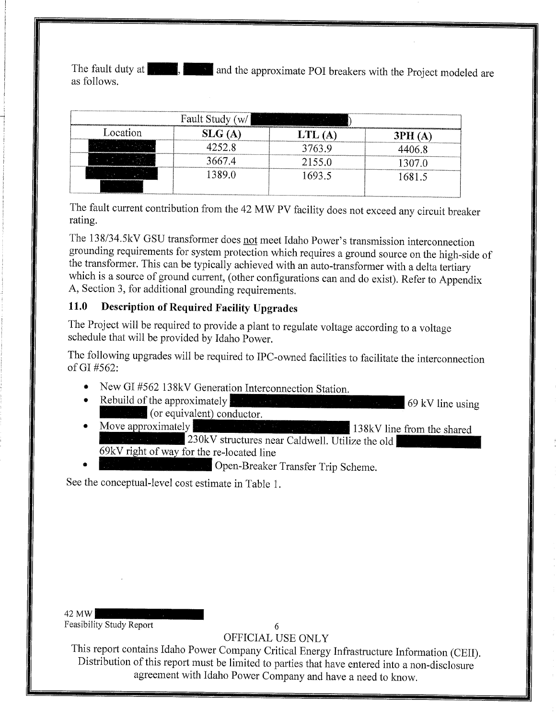The fault duty at  $\blacksquare$ . and the approximate POI breakers with the Project modeled are as follows.

| ,,,,,,,,,,,,,,,,,,,,,,,,,,,,,,,,,,,,,,<br>Fault Study<br>W/    |                                  |                                   |             |  |
|----------------------------------------------------------------|----------------------------------|-----------------------------------|-------------|--|
| Location<br>                                                   |                                  |                                   | 3PH .<br>IΑ |  |
|                                                                | 52 R<br>,,,,,,,,,,,,,,,,,,,,,,,, | 763 Q<br>,,,,,,,,,,,,,,,,,,,,,,,, |             |  |
| ',,,,,,,,,,,,,,,,,,,,,,,,,,,,<br>,,,,,,,,,,,,,,,,,,,,,,,,,,,,, | $-67.4$                          |                                   |             |  |
|                                                                | 389.0                            | 693.5                             | 581.5       |  |

The fault current contribution from the <sup>42</sup> MW PV facility does not exceed any circuit breaker rating,

The 138/34.5kV GSU transformer does not meet Idaho Power's transmission interconnection grounding requirements for system protection which requires <sup>a</sup> ground source on the high-side of the transformer. This can be typically achieved with an auto-transformer with a delta tertiary which is a source of ground current, (other configurations can and do exist). Refer to Appendix A, Section 3, for additional grounding requirements.

#### 11.O Description of Required Facility Upgrades

The Project will be required to provide <sup>a</sup> plant to regulate voltage according to <sup>a</sup> voltage schedule that will be provided by Idaho Power.

The following upgrades will be required to IPC-owned facilities to facilitate the interconnection of GI  $#562$ :

- New GI #562 138kV Generation Interconnection Station.
- $\bullet$  Rebuild of the approximately  $\bullet$  (i)  $\bullet$  (i)  $\bullet$  (i)  $\bullet$  (i)  $\bullet$  (i)  $\bullet$  (i)  $\bullet$  (i)  $\bullet$  (i)  $\bullet$  (i)  $\bullet$  (i)  $\bullet$  (i)  $\bullet$  (i)  $\bullet$  (i)  $\bullet$  (i)  $\bullet$  (i)  $\bullet$  (i)  $\bullet$  (i)  $\bullet$  (i)  $\bullet$  (i)  $\bullet$  (i)  $\bullet$  (i **Exercía (or equivalent) conductor.**<br>• Move approximately
- 138kV line from the shared 230kV structures near Caldwell. Utilize the old \_\_69kVright of way for the re-located line
- \* (letter Green-Breaker Transfer Trip Scheme.

See the conceptual-level cost estimate in Table 1.

42 MW Feasibility Study Report 6

OFFICIAL USE ONLY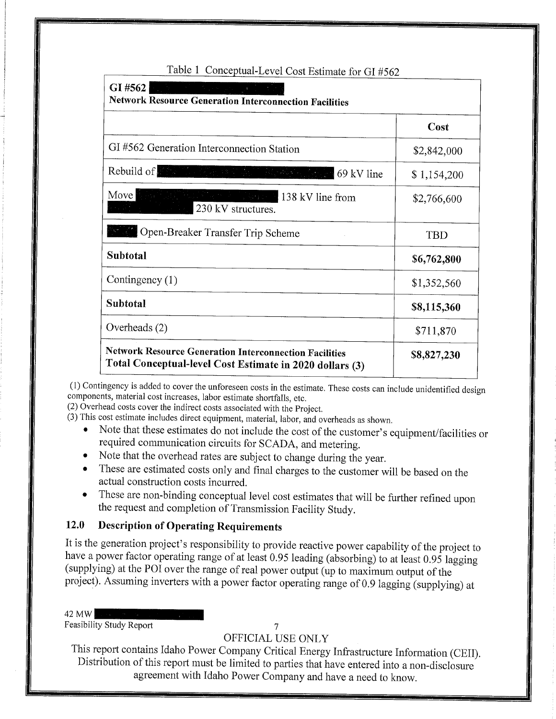| GI#562<br><b>Network Resource Generation Interconnection Facilities</b>                                                                                                      |             |  |
|------------------------------------------------------------------------------------------------------------------------------------------------------------------------------|-------------|--|
|                                                                                                                                                                              | Cost        |  |
| GI#562 Generation Interconnection Station                                                                                                                                    | \$2,842,000 |  |
| Rebuild of <b>Fight Company</b><br>$\mathcal{H}_{\mathcal{A}}$ and $\mathcal{H}_{\mathcal{A}}$ and $\mathcal{H}_{\mathcal{A}}$ and $\mathcal{H}_{\mathcal{A}}$<br>69 kV line | \$1,154,200 |  |
| Move<br>$\mathcal{H}_{\text{c}}$ , and $\mathcal{H}_{\text{c}}$ , and $\mathcal{H}_{\text{c}}$<br>138 kV line from<br><b>SAMAR</b><br>230 kV structures.                     | \$2,766,600 |  |
| Open-Breaker Transfer Trip Scheme                                                                                                                                            | TBD         |  |
| Subtotal                                                                                                                                                                     | \$6,762,800 |  |
| Contingency $(1)$                                                                                                                                                            | \$1,352,560 |  |
| Subtotal                                                                                                                                                                     | \$8,115,360 |  |
| Overheads (2)                                                                                                                                                                | \$711,870   |  |
| <b>Network Resource Generation Interconnection Facilities</b><br>Total Conceptual-level Cost Estimate in 2020 dollars (3)                                                    | \$8,827,230 |  |

#### Table 1 Conceptual-Level Cost Estimate for GI #562

(1) Contingency is added to cover the unforeseen costs in the estimate. These costs can include unidentified design components, material cost increases, labor estimate shonfalls, etc.

(2) Overhead costs cover the indirect costs associated with the Project.

(3) This cost estimate includes direct equipment, material, labor, and overheads as shown.

- Note that these estimates do not include the cost of the customer's equipment/facilities or required communication circuits for SCADA, and metering.
- @ Note that the overhead rates are subject to change during the year.
- \* These are estimated costs only and final charges to the customer will be based on the actual construction costs incurred.
- These are non-binding conceptual level cost estimates that will be further refined upon the request and completion of Transmission Facility Study.

#### 12.O Description of Operating Requirements

It is the generation project's responsibility to provide reactive power capability of the project to have a power factor operating range of at least 0.95 leading (absorbing) to at least 0.95 lagging (supplying) at the POI over the range of real power output (up to maximum output of the project). Assuming inverters with <sup>a</sup> power factor operating range of O.9 lagging (supplying) at

42 MW

Feasibility Study Report

#### OFFICIAL USE ONLY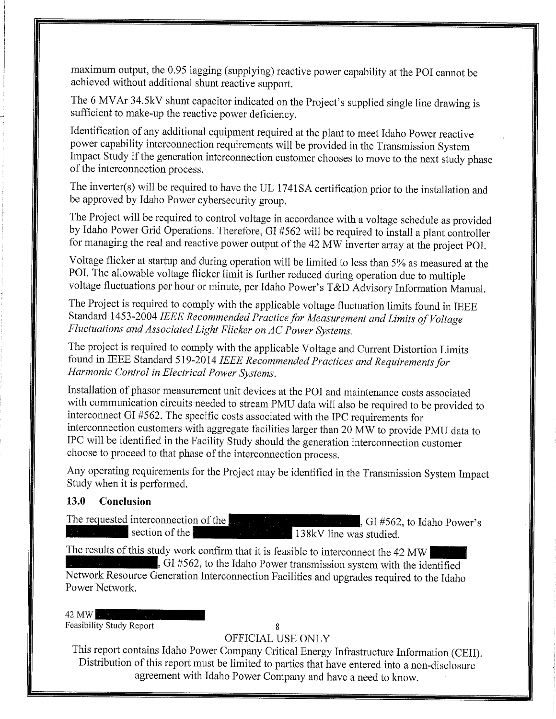maximum output, the 0.95 lagging (supplying) reactive power capability at the POI cannot be achieved without additional shunt reactive support.

The 6 MVAr 34.5kV shunt capacitor indicated on the Project's supplied single line drawing is sufficient to make-up the reactive power deficiency.

Identification of any additional equipment required at the plant to meet Idaho Power reactive power capability interconnection requirements will be provided in the Transmission System Impact Study if the generation interconnection customer chooses to move to the next study phase of the interconnection process.

The inverter(s) will be required to have the UL 1741SA certification prior to the installation and be approved by Idaho Power cybersecurity group.

The Project will be required to control voltage in accordance with a voltage schedule as provided by Idaho Power Grid Operations. Therefore, GI #562 will be required to install a plant controller for managing the real and reactive power output of the 42 MW inverter array at the project POI.

Voltage flicker at startup and during operation will be limited to less than 5% as measured at the POI. The allowable voltage flicker limit is further reduced during operation due to multiple voltage fluctuations per hour or minute, per Idaho Power's T&D Advisory Information Manual.

The Project is required to comply with the applicable voltage fluctuation limits found in IEEE Standard 1453-2004 IEEE Recommended Practice for Measurement and Limits of Voltage Fluctuations and Associated Light Flicker on AC Power Systems.

The project is required to comply with the applicable Voltage and Current Distortion Limits found in IEEE Standard 519-2014 IEEE Recommended Practices and Requirements for Harmonic Control in Electrical Power Systems.

Installation of phasor measurement unit devices at the POI and maintenance costs associated with communication circuits needed to stream PMU data will also be required to be proyided to interconnect GI #562. The specific costs associated with the IPC requirements for interconnection customers with aggregate facilities larger than 20 MW to provide PMU data to IPC will be identified in the Facility Study should the generation interconnection customer choose to proceed to that phase of the interconnection process.

Any operating requirements for the Project may be identified in the Transmission System Impact Study when it is performed.

#### 13.O Conclusion

The requested interconnection of the  $\frac{138kV}{138kV}$ , GI #562, to Idaho Power's 138kV line was studied.

The results of this study work confirm that it is feasible to interconnect the 42 MW  $\frac{1}{2}$ , GI #562, to the Idaho Power transmission system with the identified Network Resource Generation Interconnection Facilities and upgrades required to the Idaho Power Network.

42 MW

Feasibility Study Report 8

#### OFFICIAL USE ONLY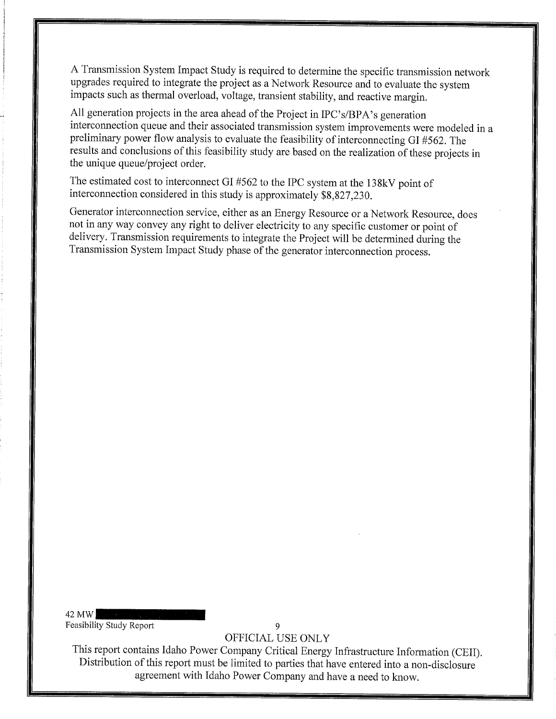<sup>A</sup> Transmission System Impact Study is required to determine the specific transmission network upgrades required to integrate the project as a Network Resource and to evaluate the system impacts such as thermal overload, voltage, transient stability, and reactive margin.

All generation projects in the area ahead of the Project in IPC's/BPA's generation interconnection queue and their associated transmission system improvements were modeled in a preliminary power flow analysis to evaluate the feasibility of interconnecting GI #562. The results and conclusions of this feasibility study are based on the realization of these projects in the unique queue/project order.

The estimated cost to interconnect GI #562 to the IPC system at the 138kV point of interconnection considered in this study is approximately \$8,827,230.

Generator interconnection service, either as an Energy Resource or <sup>a</sup> Network Resource, does not in any way convey any right to deliver electricity to any specific customer or point of delivery. Transmission requirements to integrate the Project will be determined during the Transmission System Impact Study phase of the generator interconnection process.

42 MW Feasibility Study Report 9

OFFICIAL USE ONLY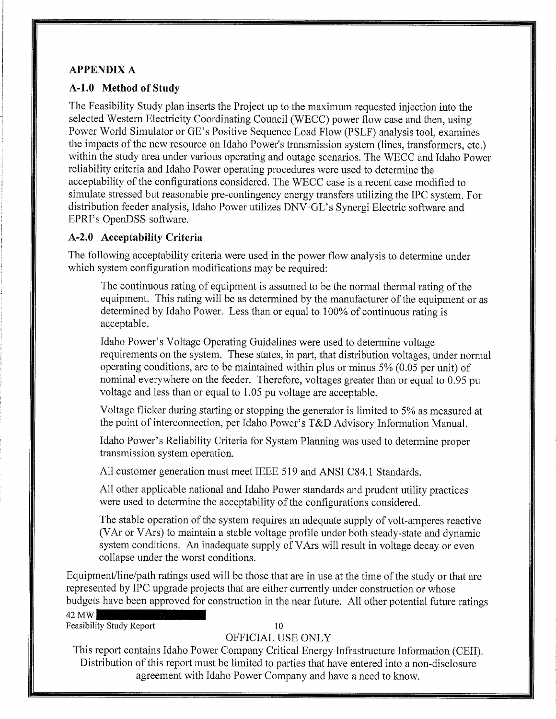#### **APPENDIX A**

#### A-1.0 Method of Study

The Feasibility Study plan inserts the Project up to the maximum requested injection into the selected Western Electricity Coordinating Council (WECC) power flow case and then, using Power World Simulator or GE's Positive Sequence Load Flow (PSLF) analysis tool, examines " the impacts of the new resource on Idaho Power's transmission system (lines, transformers, etc.) within the study area under various operating and outage scenarios. The WECC and Idaho Power reliability criteria and Idaho Power operating procedures were used to determine the acceptability of the configurations considered. The WECC case is a recent case modified to simulate stressed but reasonable pre-contingency energy transfers utilizing the IPC system. For distribution feeder analysis, Idaho Power utilizes DNV'GL's Synergi Electric software and EPRI's OpenDSS software.

#### A-2.O Acceptability Criteria

The following acceptability criteria were used in the power flow analysis to determine under which system configuration modifications may be required:

The continuous rating of equipment is assumed to be the normal thermal rating of the equipment. This rating will be as determined by the manufacturer of the equipment or as determined by Idaho Power. Less than or equal to 100% of continuous rating is acceptable.

Idaho Power's Voltage Operating Guidelines were used to determine voltage requirements on the system. These states, in part, that distribution voltages, under normal operating conditions, are to be maintained within plus or minus 5% (0.05 per unit) of nominal everywhere on the feeder. Therefore, voltages greater than or equal to O.95 pu voltage and less than or equal to 1.05 pu voltage are acceptable.

Voltage flicker during starting or stopping the generator is limited to 5% as measured at the point of interconnection, per Idaho Power's T&D Advisory Information Manual.

Idaho Power's Reliability Criteria for System Planning was used to determine proper . transmission system operation.

All customer generation must meet IEEE 519 and ANSI C84.1 Standards.

All other applicable national and Idaho Power standards and prudent utility practices were used to determine the acceptability of the configurations considered.

The stable operation of the system requires an adequate supply of volt-amperes reactive (VAr or VArs) to maintain a stable voltage profile under both steady-state and dynamic system conditions. An inadequate supply of VArs will result in voltage decay or even collapse under the worst conditions.

Equipment/line/path ratings used will be those that are in use at the time of the study or that are represented by IPC upgrade projects that are either currently under construction or whose budgets have been approved for construction in the near future. All other potential future ratings

42 MW Feasibility Study Report 10

#### OFFICIAL USE ONLY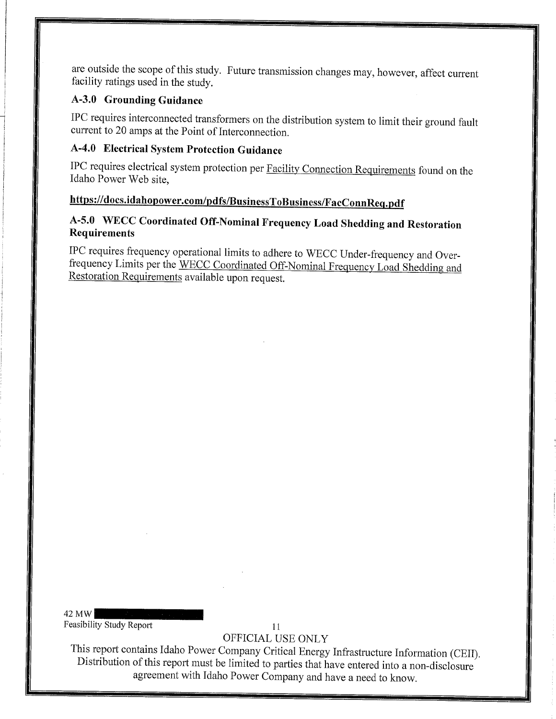are outside the scope of this study. Future transmission changes may, however, affect current facility ratings used in the study.

#### A-3.O Grounding Guidance

IPC requires interconnected transformers on the distribution system to limit their ground fault current to 20 amps at the Point of Interconnection.

## A-4.O Electrical System Protection Guidance

IPC requires electrical system protection per Facility Connection Requirements found on the Idaho Power Web site,

## https://docs.idahopower.com/pdfs/BusinessToBusiness/F acConnReq.pdf

### A-5.0 WECC Coordinated Off-Nominal Frequency Load Shedding and Restoration Requirements

IPC requires frequency operational limits to adhere to WECC Under-frequency and Overfrequency Limits per the WECC Coordinated Off-Nominal Frequency Load Shedding and Restoration Requirements available upon request.

42 MW Feasibility Study Report 11